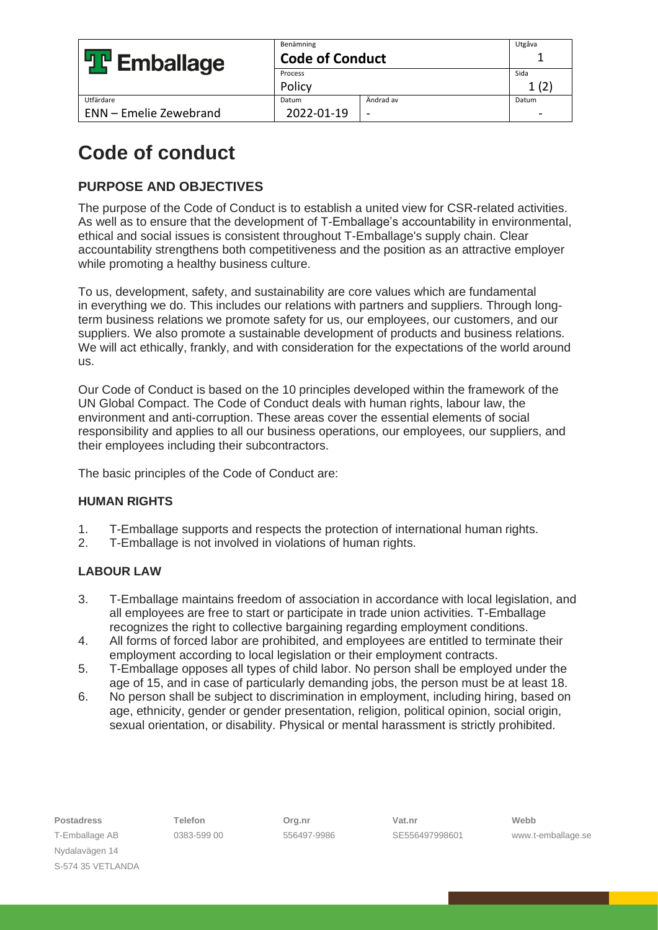| <b>빌 Emballage</b>            | Benämning<br><b>Code of Conduct</b> |           | Utgåva |
|-------------------------------|-------------------------------------|-----------|--------|
|                               | Process                             |           | Sida   |
|                               | Policy                              |           |        |
| Utfärdare                     | Datum                               | Ändrad av | Datum  |
| <b>ENN</b> - Emelie Zewebrand | 2022-01-19                          |           |        |

# **Code of conduct**

## **PURPOSE AND OBJECTIVES**

The purpose of the Code of Conduct is to establish a united view for CSR-related activities. As well as to ensure that the development of T-Emballage's accountability in environmental, ethical and social issues is consistent throughout T-Emballage's supply chain. Clear accountability strengthens both competitiveness and the position as an attractive employer while promoting a healthy business culture.

To us, development, safety, and sustainability are core values which are fundamental in everything we do. This includes our relations with partners and suppliers. Through longterm business relations we promote safety for us, our employees, our customers, and our suppliers. We also promote a sustainable development of products and business relations. We will act ethically, frankly, and with consideration for the expectations of the world around us.

Our Code of Conduct is based on the 10 principles developed within the framework of the UN Global Compact. The Code of Conduct deals with human rights, labour law, the environment and anti-corruption. These areas cover the essential elements of social responsibility and applies to all our business operations, our employees, our suppliers, and their employees including their subcontractors.

The basic principles of the Code of Conduct are:

### **HUMAN RIGHTS**

- 1. T-Emballage supports and respects the protection of international human rights.
- 2. T-Emballage is not involved in violations of human rights.

### **LABOUR LAW**

- 3. T-Emballage maintains freedom of association in accordance with local legislation, and all employees are free to start or participate in trade union activities. T-Emballage recognizes the right to collective bargaining regarding employment conditions.
- 4. All forms of forced labor are prohibited, and employees are entitled to terminate their employment according to local legislation or their employment contracts.
- 5. T-Emballage opposes all types of child labor. No person shall be employed under the age of 15, and in case of particularly demanding jobs, the person must be at least 18.
- 6. No person shall be subject to discrimination in employment, including hiring, based on age, ethnicity, gender or gender presentation, religion, political opinion, social origin, sexual orientation, or disability. Physical or mental harassment is strictly prohibited.

**Postadress Telefon Org.nr Vat.nr Webb**